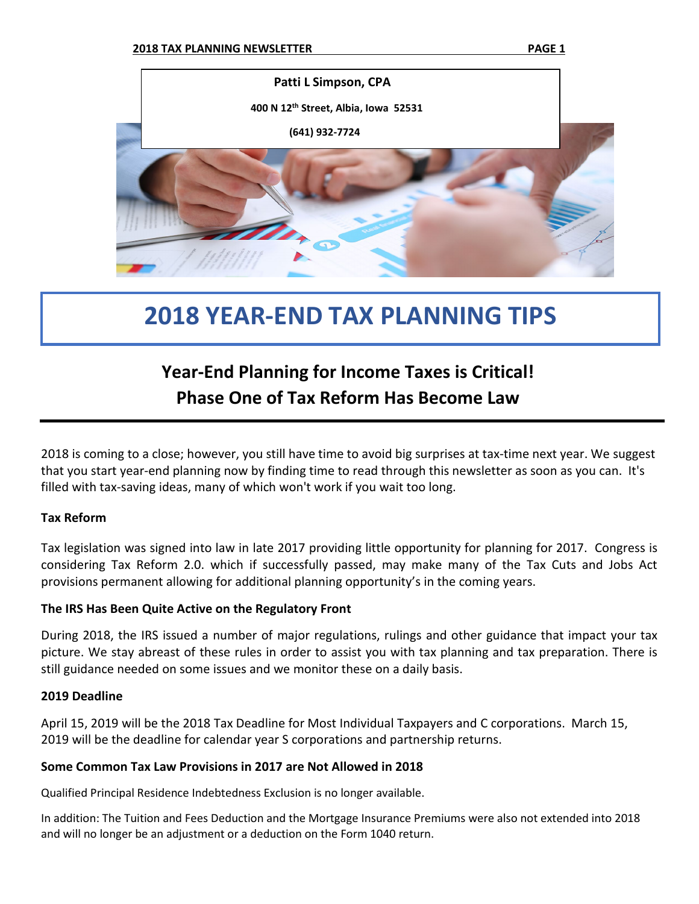

# **2018 YEAR-END TAX PLANNING TIPS**

## **Year-End Planning for Income Taxes is Critical! Phase One of Tax Reform Has Become Law**

2018 is coming to a close; however, you still have time to avoid big surprises at tax-time next year. We suggest that you start year-end planning now by finding time to read through this newsletter as soon as you can. It's filled with tax-saving ideas, many of which won't work if you wait too long.

#### **Tax Reform**

Tax legislation was signed into law in late 2017 providing little opportunity for planning for 2017. Congress is considering Tax Reform 2.0. which if successfully passed, may make many of the Tax Cuts and Jobs Act provisions permanent allowing for additional planning opportunity's in the coming years.

#### **The IRS Has Been Quite Active on the Regulatory Front**

During 2018, the IRS issued a number of major regulations, rulings and other guidance that impact your tax picture. We stay abreast of these rules in order to assist you with tax planning and tax preparation. There is still guidance needed on some issues and we monitor these on a daily basis.

#### **2019 Deadline**

April 15, 2019 will be the 2018 Tax Deadline for Most Individual Taxpayers and C corporations. March 15, 2019 will be the deadline for calendar year S corporations and partnership returns.

#### **Some Common Tax Law Provisions in 2017 are Not Allowed in 2018**

Qualified Principal Residence Indebtedness Exclusion is no longer available.

In addition: The Tuition and Fees Deduction and the Mortgage Insurance Premiums were also not extended into 2018 and will no longer be an adjustment or a deduction on the Form 1040 return.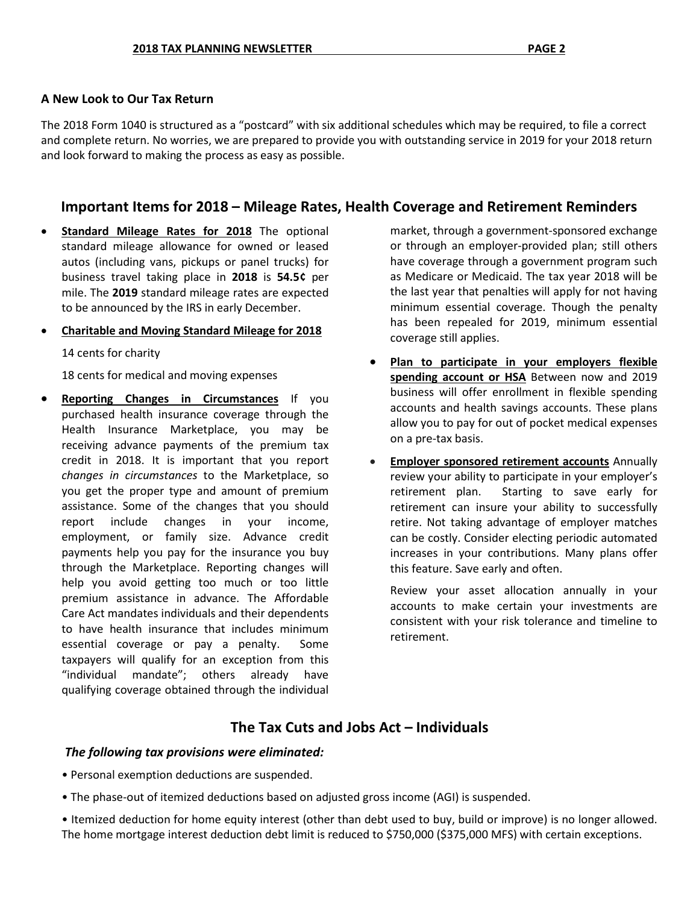#### **A New Look to Our Tax Return**

The 2018 Form 1040 is structured as a "postcard" with six additional schedules which may be required, to file a correct and complete return. No worries, we are prepared to provide you with outstanding service in 2019 for your 2018 return and look forward to making the process as easy as possible.

### **Important Items for 2018 – Mileage Rates, Health Coverage and Retirement Reminders**

- **Standard Mileage Rates for 2018** The optional standard mileage allowance for owned or leased autos (including vans, pickups or panel trucks) for business travel taking place in **2018** is **54.5¢** per mile. The **2019** standard mileage rates are expected to be announced by the IRS in early December.
- **Charitable and Moving Standard Mileage for 2018**

14 cents for charity

18 cents for medical and moving expenses

**Reporting Changes in Circumstances** If you purchased health insurance coverage through the Health Insurance Marketplace, you may be receiving advance payments of the premium tax credit in 2018. It is important that you report *changes in circumstances* to the Marketplace, so you get the proper type and amount of premium assistance. Some of the changes that you should report include changes in your income, employment, or family size. Advance credit payments help you pay for the insurance you buy through the Marketplace. Reporting changes will help you avoid getting too much or too little premium assistance in advance. The Affordable Care Act mandates individuals and their dependents to have health insurance that includes minimum essential coverage or pay a penalty. Some taxpayers will qualify for an exception from this "individual mandate"; others already have qualifying coverage obtained through the individual

market, through a government-sponsored exchange or through an employer-provided plan; still others have coverage through a government program such as Medicare or Medicaid. The tax year 2018 will be the last year that penalties will apply for not having minimum essential coverage. Though the penalty has been repealed for 2019, minimum essential coverage still applies.

- **Plan to participate in your employers flexible spending account or HSA** Between now and 2019 business will offer enrollment in flexible spending accounts and health savings accounts. These plans allow you to pay for out of pocket medical expenses on a pre-tax basis.
- **Employer sponsored retirement accounts** Annually review your ability to participate in your employer's retirement plan. Starting to save early for retirement can insure your ability to successfully retire. Not taking advantage of employer matches can be costly. Consider electing periodic automated increases in your contributions. Many plans offer this feature. Save early and often.

Review your asset allocation annually in your accounts to make certain your investments are consistent with your risk tolerance and timeline to retirement.

## **The Tax Cuts and Jobs Act – Individuals**

#### *The following tax provisions were eliminated:*

- Personal exemption deductions are suspended.
- The phase-out of itemized deductions based on adjusted gross income (AGI) is suspended.
- Itemized deduction for home equity interest (other than debt used to buy, build or improve) is no longer allowed. The home mortgage interest deduction debt limit is reduced to \$750,000 (\$375,000 MFS) with certain exceptions.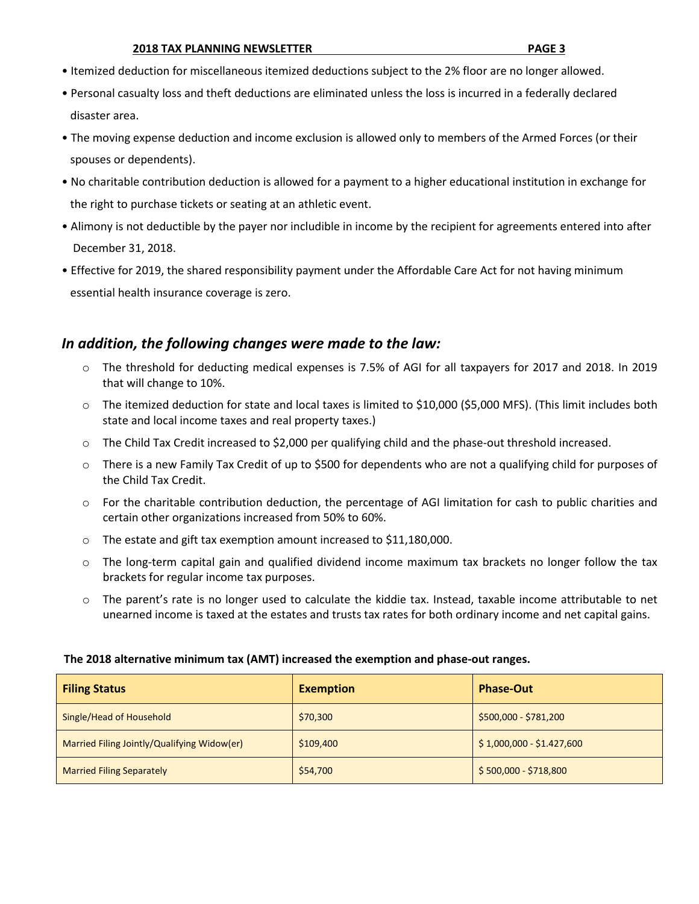- Itemized deduction for miscellaneous itemized deductions subject to the 2% floor are no longer allowed.
- Personal casualty loss and theft deductions are eliminated unless the loss is incurred in a federally declared disaster area.
- The moving expense deduction and income exclusion is allowed only to members of the Armed Forces (or their spouses or dependents).
- No charitable contribution deduction is allowed for a payment to a higher educational institution in exchange for the right to purchase tickets or seating at an athletic event.
- Alimony is not deductible by the payer nor includible in income by the recipient for agreements entered into after December 31, 2018.
- Effective for 2019, the shared responsibility payment under the Affordable Care Act for not having minimum essential health insurance coverage is zero.

#### *In addition, the following changes were made to the law:*

- o The threshold for deducting medical expenses is 7.5% of AGI for all taxpayers for 2017 and 2018. In 2019 that will change to 10%.
- o The itemized deduction for state and local taxes is limited to \$10,000 (\$5,000 MFS). (This limit includes both state and local income taxes and real property taxes.)
- o The Child Tax Credit increased to \$2,000 per qualifying child and the phase-out threshold increased.
- o There is a new Family Tax Credit of up to \$500 for dependents who are not a qualifying child for purposes of the Child Tax Credit.
- o For the charitable contribution deduction, the percentage of AGI limitation for cash to public charities and certain other organizations increased from 50% to 60%.
- o The estate and gift tax exemption amount increased to \$11,180,000.
- $\circ$  The long-term capital gain and qualified dividend income maximum tax brackets no longer follow the tax brackets for regular income tax purposes.
- o The parent's rate is no longer used to calculate the kiddie tax. Instead, taxable income attributable to net unearned income is taxed at the estates and trusts tax rates for both ordinary income and net capital gains.

#### **The 2018 alternative minimum tax (AMT) increased the exemption and phase-out ranges.**

| <b>Filing Status</b>                        | <b>Exemption</b> | <b>Phase-Out</b>          |
|---------------------------------------------|------------------|---------------------------|
| Single/Head of Household                    | \$70,300         | \$500,000 - \$781,200     |
| Married Filing Jointly/Qualifying Widow(er) | \$109,400        | $$1,000,000 - $1.427,600$ |
| <b>Married Filing Separately</b>            | \$54,700         | $$500,000 - $718,800$     |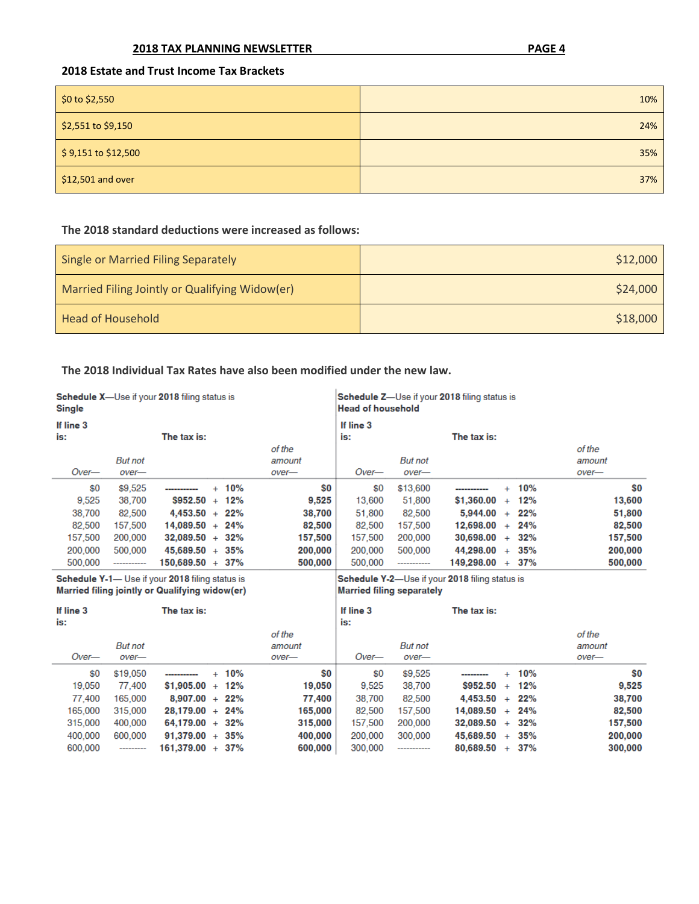#### **2018 TAX PLANNING NEWSLETTER PAGE 4**

#### **2018 Estate and Trust Income Tax Brackets**

| \$0 to \$2,550      | 10% |
|---------------------|-----|
| \$2,551 to \$9,150  | 24% |
| \$9,151 to \$12,500 | 35% |
| \$12,501 and over   | 37% |

#### **The 2018 standard deductions were increased as follows:**

| Single or Married Filing Separately            | \$12,000 |
|------------------------------------------------|----------|
| Married Filing Jointly or Qualifying Widow(er) | \$24,000 |
| <b>Head of Household</b>                       | \$18,000 |

#### **The 2018 Individual Tax Rates have also been modified under the new law.**

| <b>Schedule X</b> —Use if your 2018 filing status is<br><b>Single</b> |                |                    | Schedule Z—Use if your 2018 filing status is<br><b>Head of household</b> |         |                  |                |                    |     |        |         |
|-----------------------------------------------------------------------|----------------|--------------------|--------------------------------------------------------------------------|---------|------------------|----------------|--------------------|-----|--------|---------|
| If line 3<br>is:                                                      |                | The tax is:        |                                                                          |         | If line 3<br>is: |                | The tax is:        |     |        |         |
|                                                                       |                |                    |                                                                          | of the  |                  |                |                    |     |        | of the  |
|                                                                       | <b>But not</b> |                    |                                                                          | amount  |                  | <b>But not</b> |                    |     |        | amount  |
| Over—                                                                 | over-          |                    |                                                                          | over-   | $Over-$          | over-          |                    |     |        | over-   |
| \$0                                                                   | \$9,525        | -----------        | $+ 10%$                                                                  | \$0     | \$0              | \$13,600       | -----------        | $+$ | 10%    | SO.     |
| 9.525                                                                 | 38,700         | \$952.50           | $+ 12%$                                                                  | 9,525   | 13.600           | 51,800         | \$1,360.00         | $+$ | 12%    | 13,600  |
| 38,700                                                                | 82,500         | $4.453.50 + 22\%$  |                                                                          | 38.700  | 51,800           | 82,500         | $5.944.00 + 22\%$  |     |        | 51,800  |
| 82,500                                                                | 157,500        | $14.089.50 + 24\%$ |                                                                          | 82,500  | 82,500           | 157,500        | $12.698.00 + 24%$  |     |        | 82,500  |
| 157,500                                                               | 200,000        | $32.089.50 + 32\%$ |                                                                          | 157,500 | 157,500          | 200,000        | $30.698.00 + 32\%$ |     |        | 157,500 |
| 200,000                                                               | 500,000        | $45.689.50 + 35\%$ |                                                                          | 200,000 | 200,000          | 500,000        | $44.298.00 + 35%$  |     |        | 200,000 |
| 500,000                                                               | ------------   | 150.689.50 + 37%   |                                                                          | 500.000 | 500.000          | -----------    | 149.298.00         |     | $+37%$ | 500.000 |

Schedule Y-1- Use if your 2018 filing status is<br>Married filing jointly or Qualifying widow(er)

Schedule Y-2-Use if your 2018 filing status is<br>Married filing separately

| If line 3<br>is: |            | The tax is:            |         | If line 3<br>is: |                | The tax is:        |     |     |         |
|------------------|------------|------------------------|---------|------------------|----------------|--------------------|-----|-----|---------|
|                  |            |                        | of the  |                  |                |                    |     |     | of the  |
|                  | But not    |                        | amount  |                  | <b>But</b> not |                    |     |     | amount  |
| Over-            | over-      |                        | over-   | Over—            | over-          |                    |     |     | over-   |
| \$0              | \$19,050   | $+ 10%$<br>----------- | \$0     | \$0              | \$9,525        | ---------          | $+$ | 10% | \$0     |
| 19,050           | 77,400     | $$1.905.00 + 12\%$     | 19,050  | 9.525            | 38,700         | $$952.50 +$        |     | 12% | 9.525   |
| 77,400           | 165,000    | $8.907.00 + 22\%$      | 77.400  | 38,700           | 82,500         | $4.453.50 +$       |     | 22% | 38,700  |
| 165,000          | 315,000    | $28.179.00 + 24\%$     | 165,000 | 82,500           | 157,500        | $14.089.50 + 24\%$ |     |     | 82,500  |
| 315,000          | 400,000    | $64.179.00 + 32\%$     | 315,000 | 157,500          | 200,000        | $32.089.50 + 32\%$ |     |     | 157,500 |
| 400,000          | 600,000    | $91.379.00 + 35\%$     | 400,000 | 200,000          | 300,000        | $45.689.50 +$      |     | 35% | 200,000 |
| 600,000          | ---------- | $161,379.00 + 37%$     | 600,000 | 300,000          | ------------   | $80.689.50 + 37\%$ |     |     | 300,000 |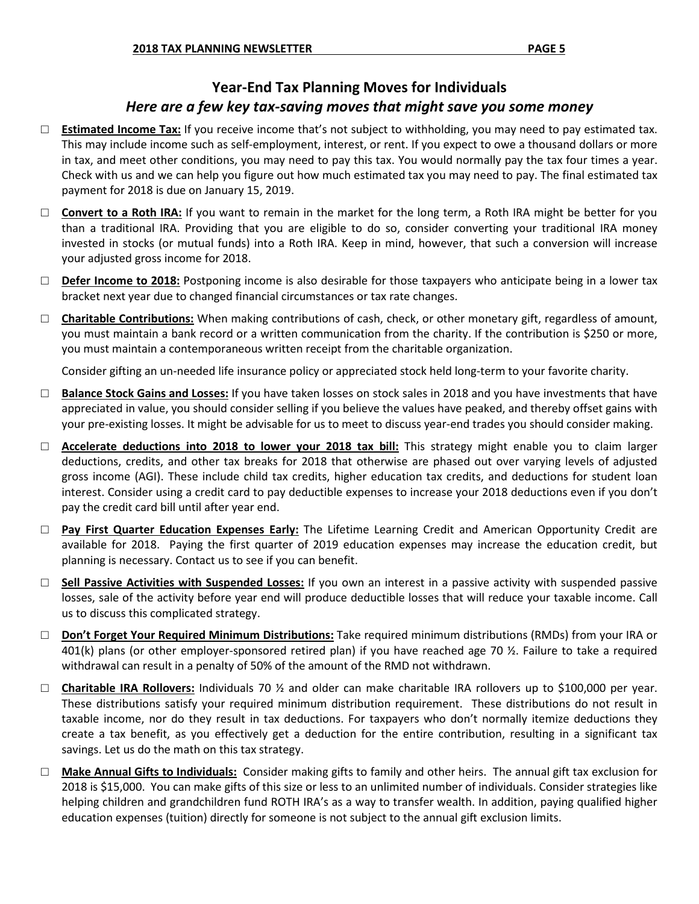## **Year-End Tax Planning Moves for Individuals** *Here are a few key tax-saving moves that might save you some money*

- □ **Estimated Income Tax:** If you receive income that's not subject to withholding, you may need to pay estimated tax. This may include income such as self-employment, interest, or rent. If you expect to owe a thousand dollars or more in tax, and meet other conditions, you may need to pay this tax. You would normally pay the tax four times a year. Check with us and we can help you figure out how much estimated tax you may need to pay. The final estimated tax payment for 2018 is due on January 15, 2019.
- □ **Convert to a Roth IRA:** If you want to remain in the market for the long term, a Roth IRA might be better for you than a traditional IRA. Providing that you are eligible to do so, consider converting your traditional IRA money invested in stocks (or mutual funds) into a Roth IRA. Keep in mind, however, that such a conversion will increase your adjusted gross income for 2018.
- □ **Defer Income to 2018:** Postponing income is also desirable for those taxpayers who anticipate being in a lower tax bracket next year due to changed financial circumstances or tax rate changes.
- □ **Charitable Contributions:** When making contributions of cash, check, or other monetary gift, regardless of amount, you must maintain a bank record or a written communication from the charity. If the contribution is \$250 or more, you must maintain a contemporaneous written receipt from the charitable organization.

Consider gifting an un-needed life insurance policy or appreciated stock held long-term to your favorite charity.

- □ **Balance Stock Gains and Losses:** If you have taken losses on stock sales in 2018 and you have investments that have appreciated in value, you should consider selling if you believe the values have peaked, and thereby offset gains with your pre-existing losses. It might be advisable for us to meet to discuss year-end trades you should consider making.
- □ **Accelerate deductions into 2018 to lower your 2018 tax bill:** This strategy might enable you to claim larger deductions, credits, and other tax breaks for 2018 that otherwise are phased out over varying levels of adjusted gross income (AGI). These include child tax credits, higher education tax credits, and deductions for student loan interest. Consider using a credit card to pay deductible expenses to increase your 2018 deductions even if you don't pay the credit card bill until after year end.
- □ **Pay First Quarter Education Expenses Early:** The Lifetime Learning Credit and American Opportunity Credit are available for 2018. Paying the first quarter of 2019 education expenses may increase the education credit, but planning is necessary. Contact us to see if you can benefit.
- □ **Sell Passive Activities with Suspended Losses:** If you own an interest in a passive activity with suspended passive losses, sale of the activity before year end will produce deductible losses that will reduce your taxable income. Call us to discuss this complicated strategy.
- □ **Don't Forget Your Required Minimum Distributions:** Take required minimum distributions (RMDs) from your IRA or 401(k) plans (or other employer-sponsored retired plan) if you have reached age 70 ½. Failure to take a required withdrawal can result in a penalty of 50% of the amount of the RMD not withdrawn.
- □ **Charitable IRA Rollovers:** Individuals 70 ½ and older can make charitable IRA rollovers up to \$100,000 per year. These distributions satisfy your required minimum distribution requirement. These distributions do not result in taxable income, nor do they result in tax deductions. For taxpayers who don't normally itemize deductions they create a tax benefit, as you effectively get a deduction for the entire contribution, resulting in a significant tax savings. Let us do the math on this tax strategy.
- □ **Make Annual Gifts to Individuals**: Consider making gifts to family and other heirs. The annual gift tax exclusion for 2018 is \$15,000. You can make gifts of this size or less to an unlimited number of individuals. Consider strategies like helping children and grandchildren fund ROTH IRA's as a way to transfer wealth. In addition, paying qualified higher education expenses (tuition) directly for someone is not subject to the annual gift exclusion limits.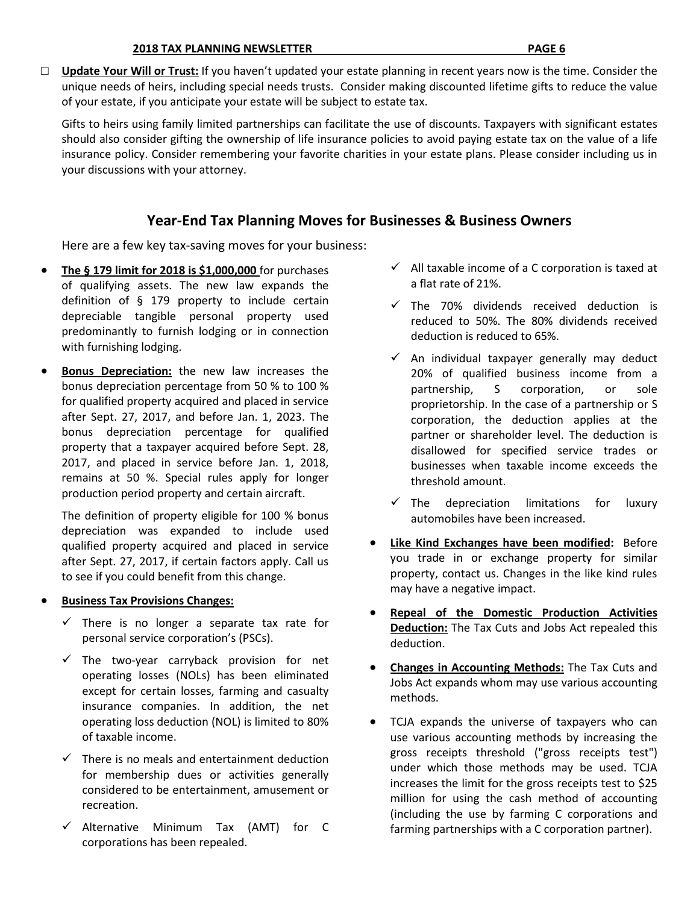□ **Update Your Will or Trust:** If you haven't updated your estate planning in recent years now is the time. Consider the unique needs of heirs, including special needs trusts. Consider making discounted lifetime gifts to reduce the value of your estate, if you anticipate your estate will be subject to estate tax.

Gifts to heirs using family limited partnerships can facilitate the use of discounts. Taxpayers with significant estates should also consider gifting the ownership of life insurance policies to avoid paying estate tax on the value of a life insurance policy. Consider remembering your favorite charities in your estate plans. Please consider including us in your discussions with your attorney.

## **Year-End Tax Planning Moves for Businesses & Business Owners**

Here are a few key tax-saving moves for your business:

- **The § 179 limit for 2018 is \$1,000,000** for purchases of qualifying assets. The new law expands the definition of § 179 property to include certain depreciable tangible personal property used predominantly to furnish lodging or in connection with furnishing lodging.
- **Bonus Depreciation:** the new law increases the bonus depreciation percentage from 50 % to 100 % for qualified property acquired and placed in service after Sept. 27, 2017, and before Jan. 1, 2023. The bonus depreciation percentage for qualified property that a taxpayer acquired before Sept. 28, 2017, and placed in service before Jan. 1, 2018, remains at 50 %. Special rules apply for longer production period property and certain aircraft.

The definition of property eligible for 100 % bonus depreciation was expanded to include used qualified property acquired and placed in service after Sept. 27, 2017, if certain factors apply. Call us to see if you could benefit from this change.

#### • **Business Tax Provisions Changes:**

- $\checkmark$  There is no longer a separate tax rate for personal service corporation's (PSCs).
- $\checkmark$  The two-year carryback provision for net operating losses (NOLs) has been eliminated except for certain losses, farming and casualty insurance companies. In addition, the net operating loss deduction (NOL) is limited to 80% of taxable income.
- $\checkmark$  There is no meals and entertainment deduction for membership dues or activities generally considered to be entertainment, amusement or recreation.
- $\checkmark$  Alternative Minimum Tax (AMT) for C corporations has been repealed.
- $\checkmark$  All taxable income of a C corporation is taxed at a flat rate of 21%.
- $\checkmark$  The 70% dividends received deduction is reduced to 50%. The 80% dividends received deduction is reduced to 65%.
- $\checkmark$  An individual taxpayer generally may deduct 20% of qualified business income from a partnership, S corporation, or sole proprietorship. In the case of a partnership or S corporation, the deduction applies at the partner or shareholder level. The deduction is disallowed for specified service trades or businesses when taxable income exceeds the threshold amount.
- $\checkmark$  The depreciation limitations for luxury automobiles have been increased.
- **Like Kind Exchanges have been modified:** Before you trade in or exchange property for similar property, contact us. Changes in the like kind rules may have a negative impact.
- **Repeal of the Domestic Production Activities Deduction:** The Tax Cuts and Jobs Act repealed this deduction.
- **Changes in Accounting Methods:** The Tax Cuts and Jobs Act expands whom may use various accounting methods.
- TCJA expands the universe of taxpayers who can use various accounting methods by increasing the gross receipts threshold ("gross receipts test") under which those methods may be used. TCJA increases the limit for the gross receipts test to \$25 million for using the cash method of accounting (including the use by farming C corporations and farming partnerships with a C corporation partner).